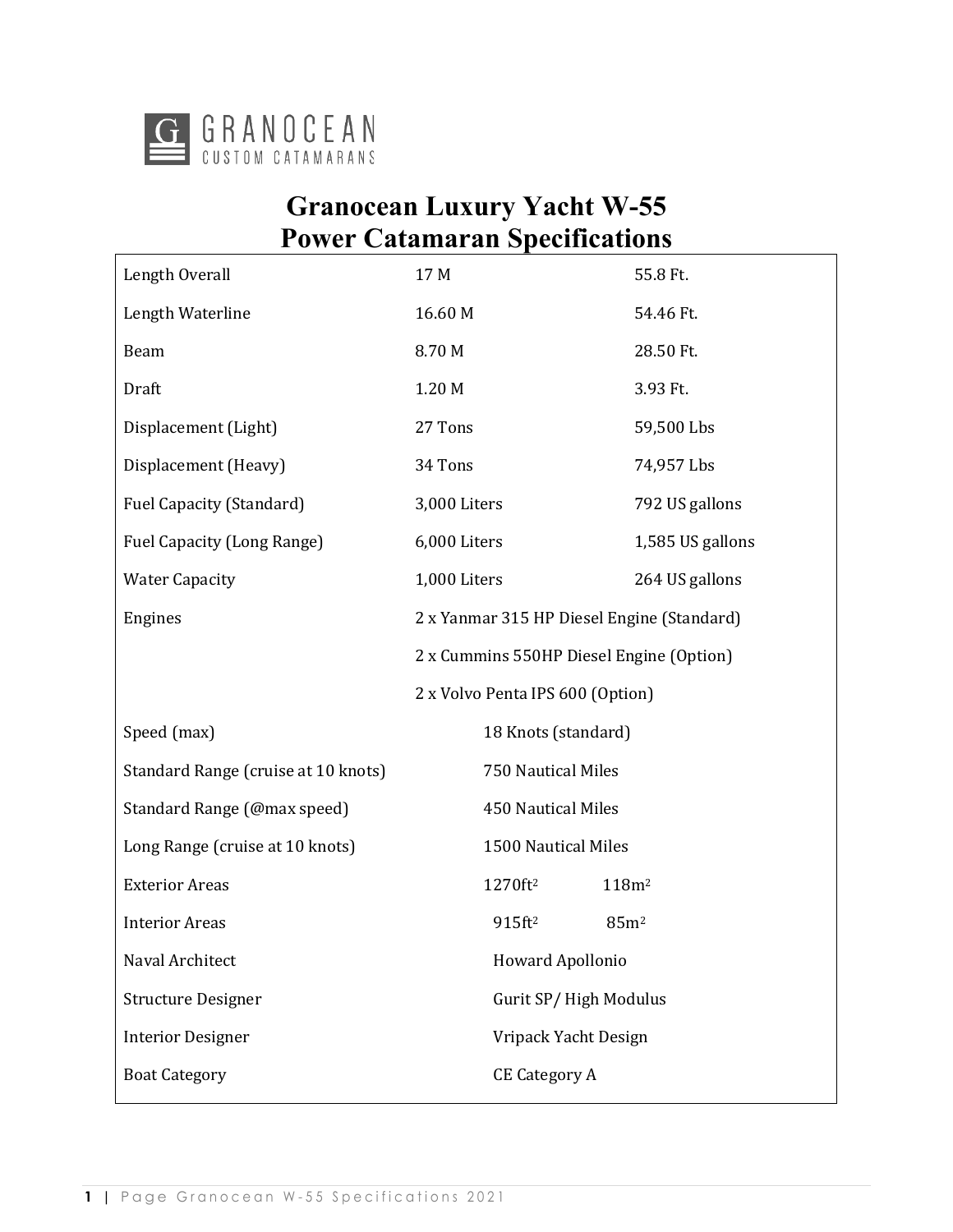

# **Granocean Luxury Yacht W-55 Power Catamaran Specifications**

| Length Overall                      | 17 M                                       | 55.8 Ft.          |
|-------------------------------------|--------------------------------------------|-------------------|
| Length Waterline                    | 16.60 M                                    | 54.46 Ft.         |
| Beam                                | 8.70 M                                     | 28.50 Ft.         |
| Draft                               | 1.20 M                                     | 3.93 Ft.          |
| Displacement (Light)                | 27 Tons                                    | 59,500 Lbs        |
| Displacement (Heavy)                | 34 Tons                                    | 74,957 Lbs        |
| <b>Fuel Capacity (Standard)</b>     | 3,000 Liters                               | 792 US gallons    |
| Fuel Capacity (Long Range)          | 6,000 Liters                               | 1,585 US gallons  |
| <b>Water Capacity</b>               | 1,000 Liters                               | 264 US gallons    |
| Engines                             | 2 x Yanmar 315 HP Diesel Engine (Standard) |                   |
|                                     | 2 x Cummins 550HP Diesel Engine (Option)   |                   |
|                                     | 2 x Volvo Penta IPS 600 (Option)           |                   |
| Speed (max)                         | 18 Knots (standard)                        |                   |
| Standard Range (cruise at 10 knots) | 750 Nautical Miles                         |                   |
| Standard Range (@max speed)         | 450 Nautical Miles                         |                   |
| Long Range (cruise at 10 knots)     | 1500 Nautical Miles                        |                   |
| <b>Exterior Areas</b>               | 1270ft <sup>2</sup>                        | 118m <sup>2</sup> |
| <b>Interior Areas</b>               | $915$ ft <sup>2</sup>                      | 85m <sup>2</sup>  |
| Naval Architect                     | Howard Apollonio                           |                   |
| <b>Structure Designer</b>           | Gurit SP/High Modulus                      |                   |
| <b>Interior Designer</b>            | Vripack Yacht Design                       |                   |
|                                     |                                            |                   |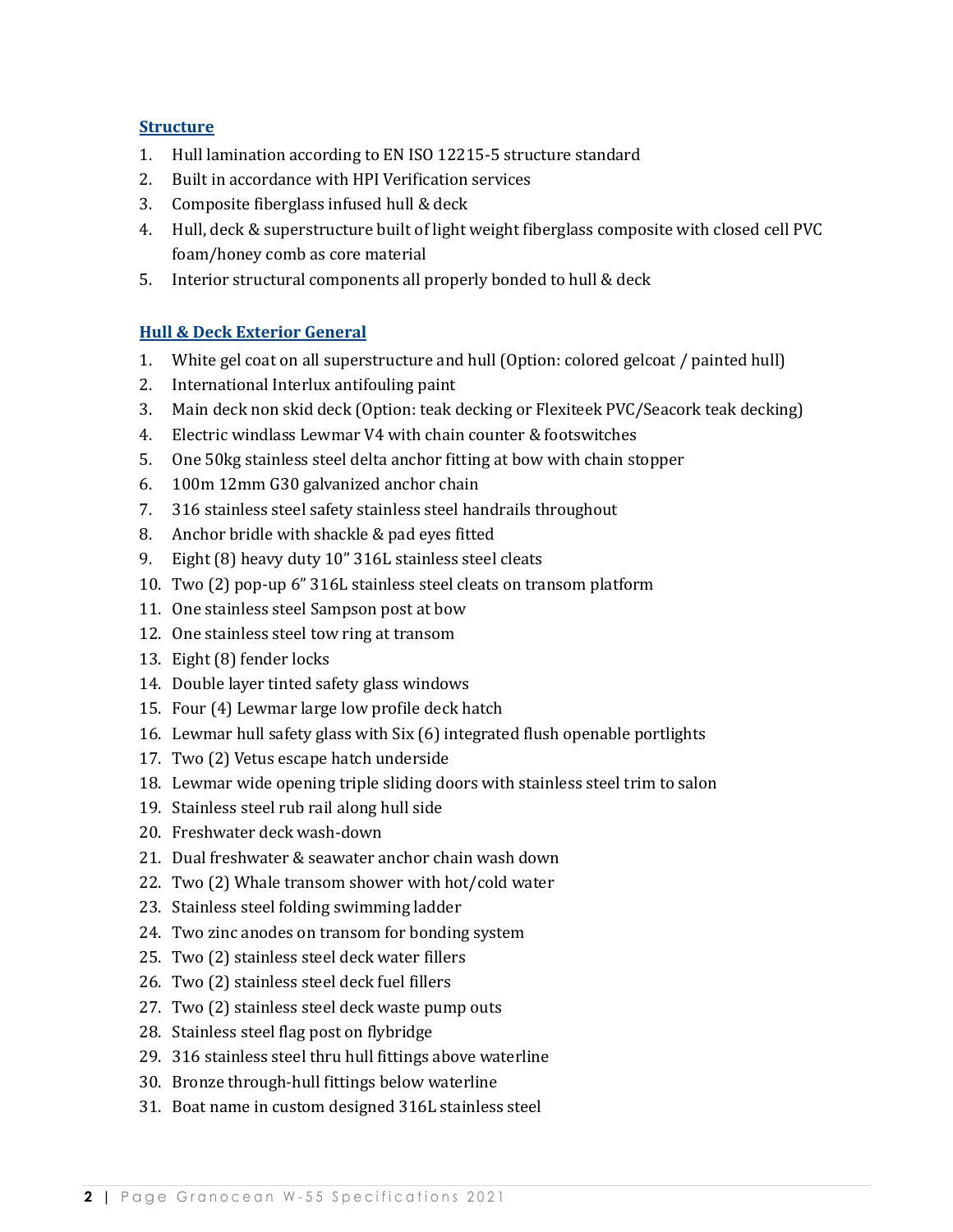#### **Structure**

- 1. Hull lamination according to EN ISO 12215-5 structure standard
- 2. Built in accordance with HPI Verification services
- 3. Composite fiberglass infused hull & deck
- 4. Hull, deck & superstructure built of light weight fiberglass composite with closed cell PVC foam/honey comb as core material
- 5. Interior structural components all properly bonded to hull & deck

#### **Hull & Deck Exterior General**

- 1. White gel coat on all superstructure and hull (Option: colored gelcoat / painted hull)
- 2. International Interlux antifouling paint
- 3. Main deck non skid deck (Option: teak decking or Flexiteek PVC/Seacork teak decking)
- 4. Electric windlass Lewmar V4 with chain counter & footswitches
- 5. One 50kg stainless steel delta anchor fitting at bow with chain stopper
- 6. 100m 12mm G30 galvanized anchor chain
- 7. 316 stainless steel safety stainless steel handrails throughout
- 8. Anchor bridle with shackle & pad eyes fitted
- 9. Eight (8) heavy duty 10" 316L stainless steel cleats
- 10. Two (2) pop-up 6" 316L stainless steel cleats on transom platform
- 11. One stainless steel Sampson post at bow
- 12. One stainless steel tow ring at transom
- 13. Eight (8) fender locks
- 14. Double layer tinted safety glass windows
- 15. Four (4) Lewmar large low profile deck hatch
- 16. Lewmar hull safety glass with Six (6) integrated flush openable portlights
- 17. Two (2) Vetus escape hatch underside
- 18. Lewmar wide opening triple sliding doors with stainless steel trim to salon
- 19. Stainless steel rub rail along hull side
- 20. Freshwater deck wash-down
- 21. Dual freshwater & seawater anchor chain wash down
- 22. Two  $(2)$  Whale transom shower with hot/cold water
- 23. Stainless steel folding swimming ladder
- 24. Two zinc anodes on transom for bonding system
- 25. Two (2) stainless steel deck water fillers
- 26. Two (2) stainless steel deck fuel fillers
- 27. Two (2) stainless steel deck waste pump outs
- 28. Stainless steel flag post on flybridge
- 29. 316 stainless steel thru hull fittings above waterline
- 30. Bronze through-hull fittings below waterline
- 31. Boat name in custom designed 316L stainless steel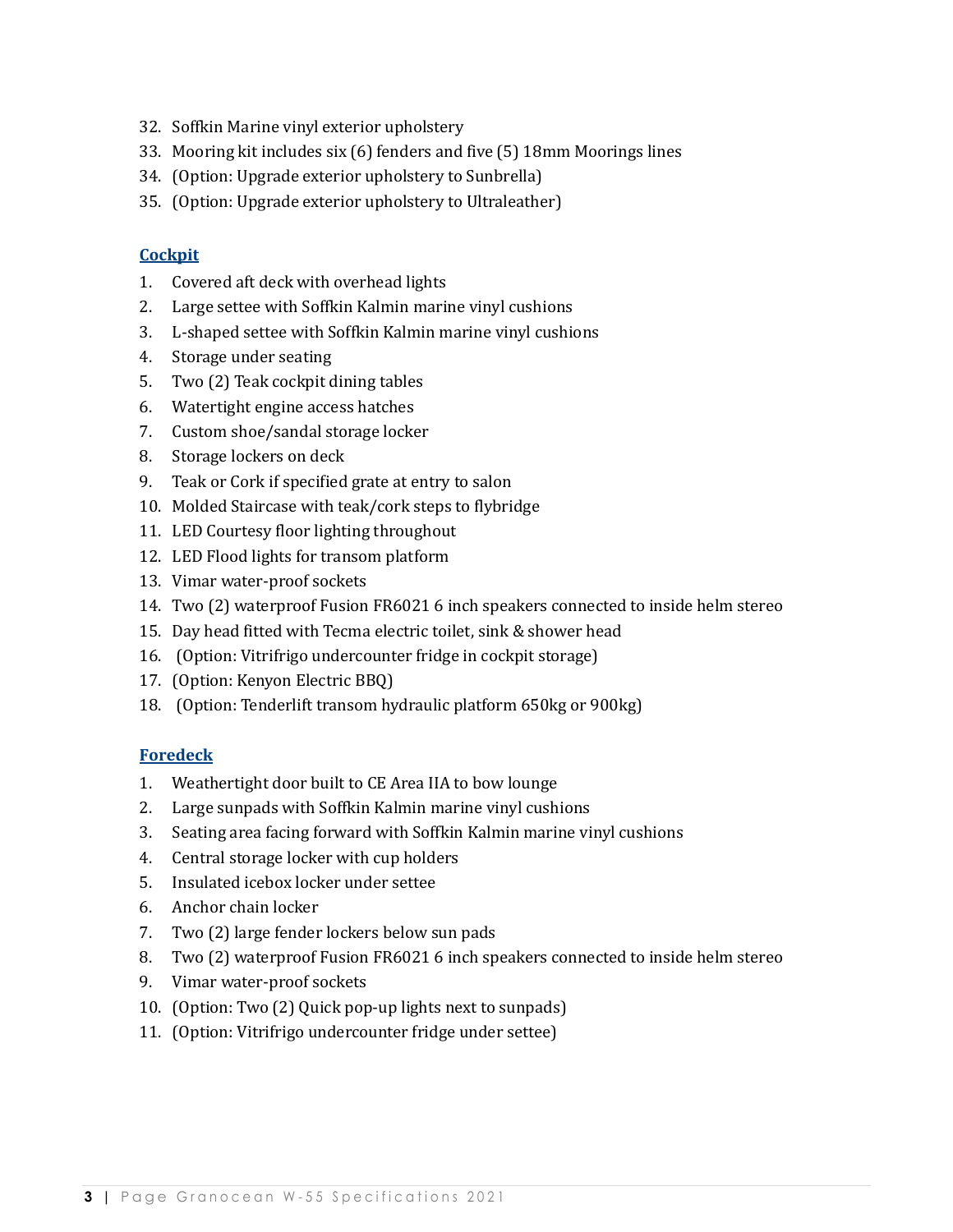- 32. Soffkin Marine vinyl exterior upholstery
- 33. Mooring kit includes six (6) fenders and five (5) 18mm Moorings lines
- 34. (Option: Upgrade exterior upholstery to Sunbrella)
- 35. (Option: Upgrade exterior upholstery to Ultraleather)

#### **Cockpit**

- 1. Covered aft deck with overhead lights
- 2. Large settee with Soffkin Kalmin marine vinyl cushions
- 3. L-shaped settee with Soffkin Kalmin marine vinyl cushions
- 4. Storage under seating
- 5. Two (2) Teak cockpit dining tables
- 6. Watertight engine access hatches
- 7. Custom shoe/sandal storage locker
- 8. Storage lockers on deck
- 9. Teak or Cork if specified grate at entry to salon
- 10. Molded Staircase with teak/cork steps to flybridge
- 11. LED Courtesy floor lighting throughout
- 12. LED Flood lights for transom platform
- 13. Vimar water-proof sockets
- 14. Two (2) waterproof Fusion FR6021 6 inch speakers connected to inside helm stereo
- 15. Day head fitted with Tecma electric toilet, sink & shower head
- 16. (Option: Vitrifrigo undercounter fridge in cockpit storage)
- 17. (Option: Kenyon Electric BBQ)
- 18. (Option: Tenderlift transom hydraulic platform 650kg or 900kg)

#### **Foredeck**

- 1. Weathertight door built to CE Area IIA to bow lounge
- 2. Large sunpads with Soffkin Kalmin marine vinyl cushions
- 3. Seating area facing forward with Soffkin Kalmin marine vinyl cushions
- 4. Central storage locker with cup holders
- 5. Insulated icebox locker under settee
- 6. Anchor chain locker
- 7. Two (2) large fender lockers below sun pads
- 8. Two (2) waterproof Fusion FR6021 6 inch speakers connected to inside helm stereo
- 9. Vimar water-proof sockets
- 10. (Option: Two (2) Quick pop-up lights next to sunpads)
- 11. (Option: Vitrifrigo undercounter fridge under settee)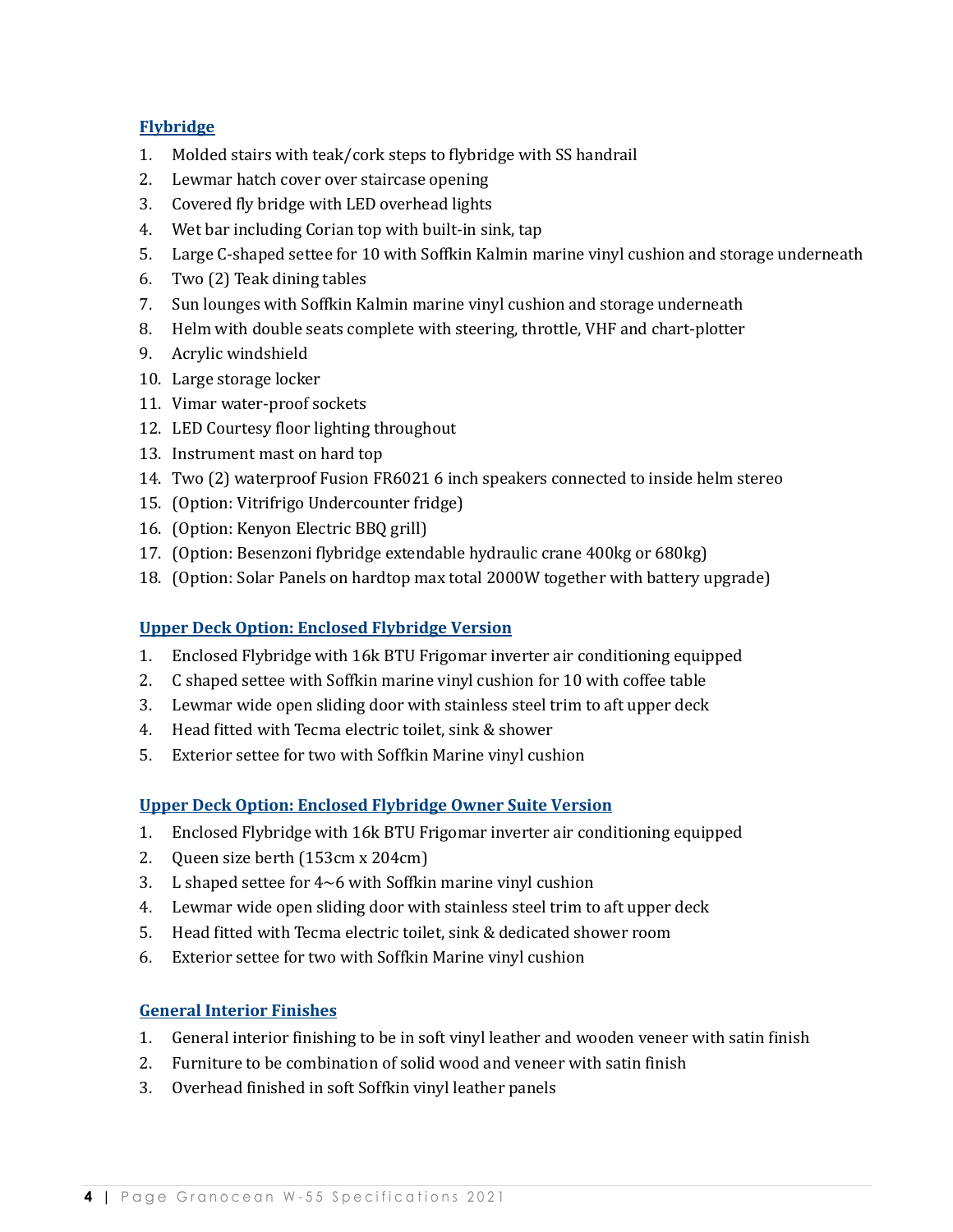## **Flybridge**

- 1. Molded stairs with teak/cork steps to flybridge with SS handrail
- 2. Lewmar hatch cover over staircase opening
- 3. Covered fly bridge with LED overhead lights
- 4. Wet bar including Corian top with built-in sink, tap
- 5. Large C-shaped settee for 10 with Soffkin Kalmin marine vinyl cushion and storage underneath
- 6. Two  $(2)$  Teak dining tables
- 7. Sun lounges with Soffkin Kalmin marine vinyl cushion and storage underneath
- 8. Helm with double seats complete with steering, throttle, VHF and chart-plotter
- 9. Acrylic windshield
- 10. Large storage locker
- 11. Vimar water-proof sockets
- 12. LED Courtesy floor lighting throughout
- 13. Instrument mast on hard top
- 14. Two (2) waterproof Fusion FR6021 6 inch speakers connected to inside helm stereo
- 15. (Option: Vitrifrigo Undercounter fridge)
- 16. (Option: Kenyon Electric BBQ grill)
- 17. (Option: Besenzoni flybridge extendable hydraulic crane 400kg or 680kg)
- 18. (Option: Solar Panels on hardtop max total 2000W together with battery upgrade)

## **Upper Deck Option: Enclosed Flybridge Version**

- 1. Enclosed Flybridge with 16k BTU Frigomar inverter air conditioning equipped
- 2. C shaped settee with Soffkin marine vinyl cushion for 10 with coffee table
- 3. Lewmar wide open sliding door with stainless steel trim to aft upper deck
- 4. Head fitted with Tecma electric toilet, sink & shower
- 5. Exterior settee for two with Soffkin Marine vinyl cushion

## **Upper Deck Option: Enclosed Flybridge Owner Suite Version**

- 1. Enclosed Flybridge with 16k BTU Frigomar inverter air conditioning equipped
- 2. Queen size berth (153cm x 204cm)
- 3. L shaped settee for  $4~6$  with Soffkin marine vinyl cushion
- 4. Lewmar wide open sliding door with stainless steel trim to aft upper deck
- 5. Head fitted with Tecma electric toilet, sink & dedicated shower room
- 6. Exterior settee for two with Soffkin Marine vinyl cushion

## **General Interior Finishes**

- 1. General interior finishing to be in soft vinyl leather and wooden veneer with satin finish
- 2. Furniture to be combination of solid wood and veneer with satin finish
- 3. Overhead finished in soft Soffkin vinyl leather panels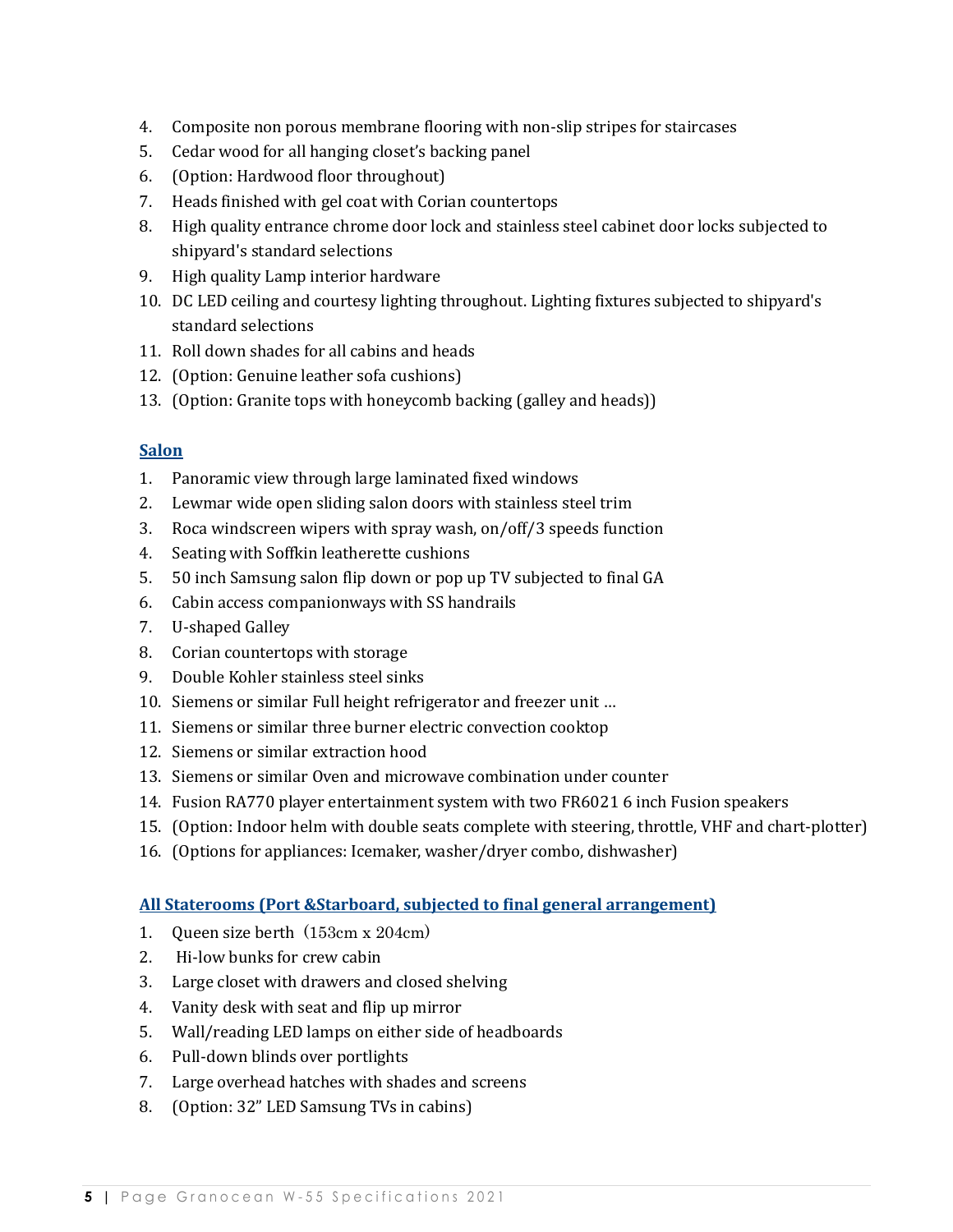- 4. Composite non porous membrane flooring with non-slip stripes for staircases
- 5. Cedar wood for all hanging closet's backing panel
- 6. (Option: Hardwood floor throughout)
- 7. Heads finished with gel coat with Corian countertops
- 8. High quality entrance chrome door lock and stainless steel cabinet door locks subjected to shipyard's standard selections
- 9. High quality Lamp interior hardware
- 10. DC LED ceiling and courtesy lighting throughout. Lighting fixtures subjected to shipyard's standard selections
- 11. Roll down shades for all cabins and heads
- 12. (Option: Genuine leather sofa cushions)
- 13. (Option: Granite tops with honeycomb backing (galley and heads))

## **Salon**

- 1. Panoramic view through large laminated fixed windows
- 2. Lewmar wide open sliding salon doors with stainless steel trim
- 3. Roca windscreen wipers with spray wash, on/off/3 speeds function
- 4. Seating with Soffkin leatherette cushions
- 5. 50 inch Samsung salon flip down or pop up TV subjected to final GA
- 6. Cabin access companionways with SS handrails
- 7. U-shaped Galley
- 8. Corian countertops with storage
- 9. Double Kohler stainless steel sinks
- 10. Siemens or similar Full height refrigerator and freezer unit ...
- 11. Siemens or similar three burner electric convection cooktop
- 12. Siemens or similar extraction hood
- 13. Siemens or similar Oven and microwave combination under counter
- 14. Fusion RA770 player entertainment system with two FR6021 6 inch Fusion speakers
- 15. (Option: Indoor helm with double seats complete with steering, throttle, VHF and chart-plotter)
- 16. (Options for appliances: Icemaker, washer/dryer combo, dishwasher)

## **All Staterooms (Port &Starboard, subjected to final general arrangement)**

- 1. Oueen size berth  $(153cm x 204cm)$
- 2. Hi-low bunks for crew cabin
- 3. Large closet with drawers and closed shelving
- 4. Vanity desk with seat and flip up mirror
- 5. Wall/reading LED lamps on either side of headboards
- 6. Pull-down blinds over portlights
- 7. Large overhead hatches with shades and screens
- 8. (Option: 32" LED Samsung TVs in cabins)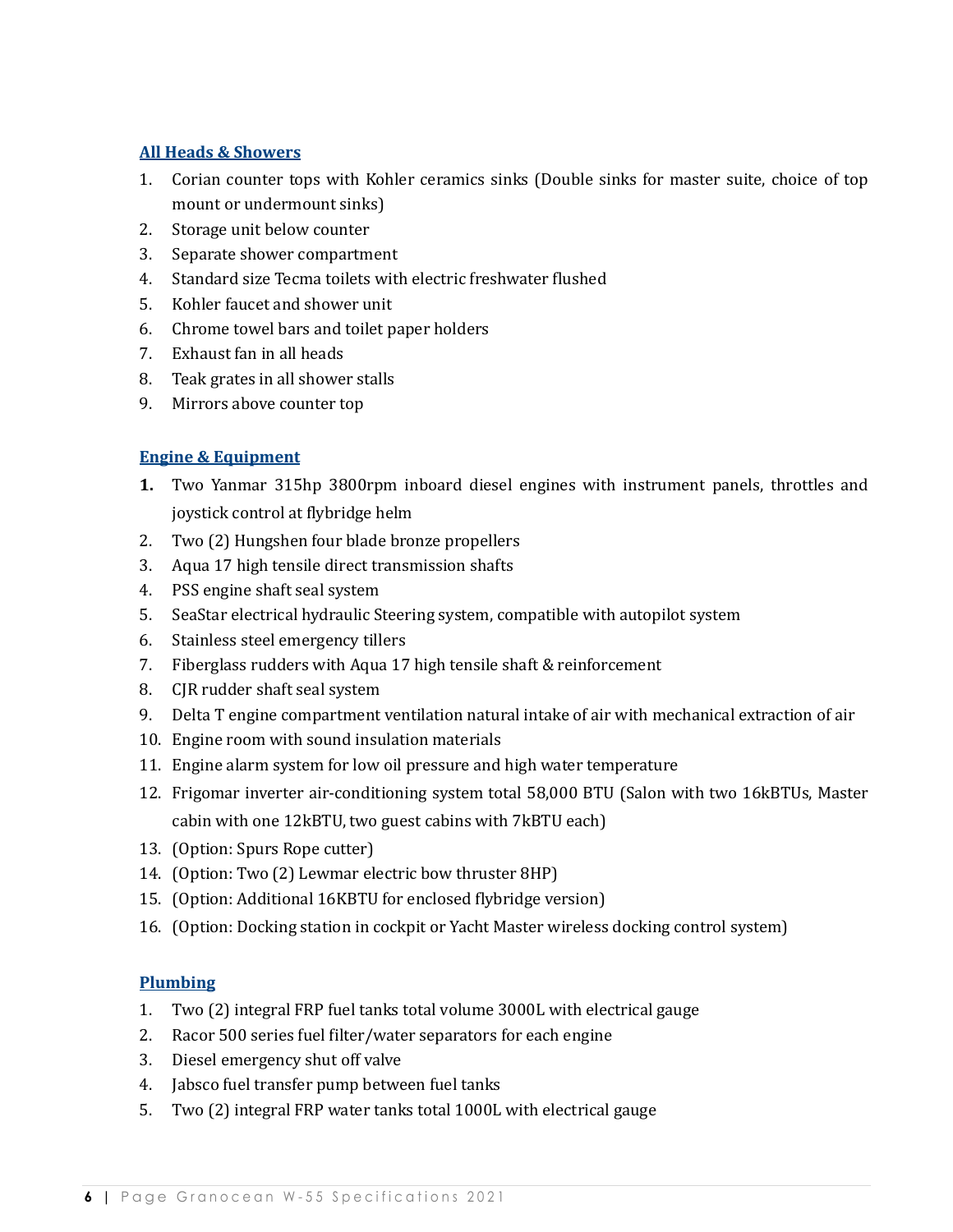## **All Heads & Showers**

- 1. Corian counter tops with Kohler ceramics sinks (Double sinks for master suite, choice of top mount or undermount sinks)
- 2. Storage unit below counter
- 3. Separate shower compartment
- 4. Standard size Tecma toilets with electric freshwater flushed
- 5. Kohler faucet and shower unit
- 6. Chrome towel bars and toilet paper holders
- 7. Exhaust fan in all heads
- 8. Teak grates in all shower stalls
- 9. Mirrors above counter top

## **Engine & Equipment**

- **1.** Two Yanmar 315hp 3800rpm inboard diesel engines with instrument panels, throttles and joystick control at flybridge helm
- 2. Two (2) Hungshen four blade bronze propellers
- 3. Aqua 17 high tensile direct transmission shafts
- 4. PSS engine shaft seal system
- 5. SeaStar electrical hydraulic Steering system, compatible with autopilot system
- 6. Stainless steel emergency tillers
- 7. Fiberglass rudders with Aqua 17 high tensile shaft & reinforcement
- 8. CJR rudder shaft seal system
- 9. Delta T engine compartment ventilation natural intake of air with mechanical extraction of air
- 10. Engine room with sound insulation materials
- 11. Engine alarm system for low oil pressure and high water temperature
- 12. Frigomar inverter air-conditioning system total 58,000 BTU (Salon with two 16kBTUs, Master cabin with one 12kBTU, two guest cabins with 7kBTU each)
- 13. (Option: Spurs Rope cutter)
- 14. (Option: Two (2) Lewmar electric bow thruster 8HP)
- 15. (Option: Additional 16KBTU for enclosed flybridge version)
- 16. (Option: Docking station in cockpit or Yacht Master wireless docking control system)

#### **Plumbing**

- 1. Two (2) integral FRP fuel tanks total volume 3000L with electrical gauge
- 2. Racor 500 series fuel filter/water separators for each engine
- 3. Diesel emergency shut off valve
- 4. Jabsco fuel transfer pump between fuel tanks
- 5. Two (2) integral FRP water tanks total 1000L with electrical gauge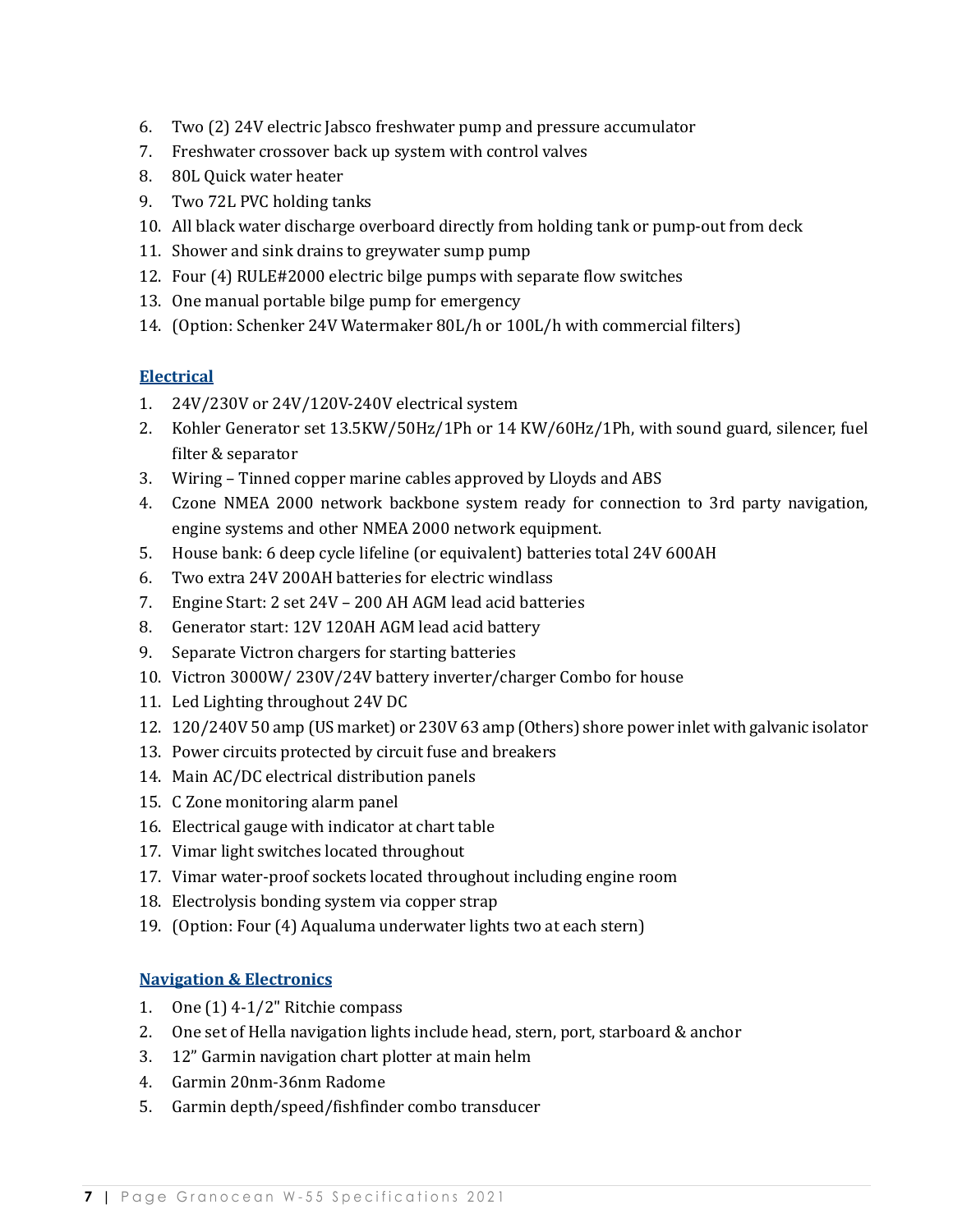- 6. Two (2) 24V electric Jabsco freshwater pump and pressure accumulator
- 7. Freshwater crossover back up system with control valves
- 8. 80L Quick water heater
- 9. Two 72L PVC holding tanks
- 10. All black water discharge overboard directly from holding tank or pump-out from deck
- 11. Shower and sink drains to greywater sump pump
- 12. Four (4) RULE#2000 electric bilge pumps with separate flow switches
- 13. One manual portable bilge pump for emergency
- 14. (Option: Schenker 24V Watermaker 80L/h or 100L/h with commercial filters)

# **Electrical**

- 1. 24V/230V or 24V/120V-240V electrical system
- 2. Kohler Generator set 13.5KW/50Hz/1Ph or 14 KW/60Hz/1Ph, with sound guard, silencer, fuel filter & separator
- 3. Wiring Tinned copper marine cables approved by Lloyds and ABS
- 4. Czone NMEA 2000 network backbone system ready for connection to 3rd party navigation, engine systems and other NMEA 2000 network equipment.
- 5. House bank: 6 deep cycle lifeline (or equivalent) batteries total 24V 600AH
- 6. Two extra 24V 200AH batteries for electric windlass
- 7. Engine Start: 2 set 24V 200 AH AGM lead acid batteries
- 8. Generator start: 12V 120AH AGM lead acid battery
- 9. Separate Victron chargers for starting batteries
- 10. Victron 3000W/230V/24V battery inverter/charger Combo for house
- 11. Led Lighting throughout 24V DC
- 12. 120/240V 50 amp (US market) or 230V 63 amp (Others) shore power inlet with galvanic isolator
- 13. Power circuits protected by circuit fuse and breakers
- 14. Main AC/DC electrical distribution panels
- 15. C Zone monitoring alarm panel
- 16. Electrical gauge with indicator at chart table
- 17. Vimar light switches located throughout
- 17. Vimar water-proof sockets located throughout including engine room
- 18. Electrolysis bonding system via copper strap
- 19. (Option: Four (4) Aqualuma underwater lights two at each stern)

# **Navigation & Electronics**

- 1. One  $(1)$  4-1/2" Ritchie compass
- 2. One set of Hella navigation lights include head, stern, port, starboard & anchor
- 3. 12" Garmin navigation chart plotter at main helm
- 4. Garmin 20nm-36nm Radome
- 5. Garmin depth/speed/fishfinder combo transducer